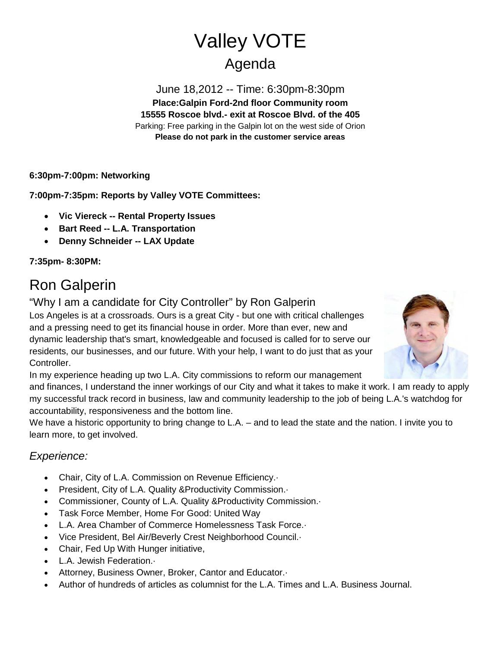# Valley VOTE Agenda

June 18,2012 -- Time: 6:30pm-8:30pm **Place:Galpin Ford-2nd floor Community room 15555 Roscoe blvd.- exit at Roscoe Blvd. of the 405** Parking: Free parking in the Galpin lot on the west side of Orion **Please do not park in the customer service areas**

**6:30pm-7:00pm: Networking**

**7:00pm-7:35pm: Reports by Valley VOTE Committees:**

- **Vic Viereck -- Rental Property Issues**
- **Bart Reed -- L.A. Transportation**
- **Denny Schneider -- LAX Update**

**7:35pm- 8:30PM:**

## Ron Galperin

"Why I am a candidate for City Controller" by Ron Galperin

Los Angeles is at a crossroads. Ours is a great City - but one with critical challenges and a pressing need to get its financial house in order. More than ever, new and dynamic leadership that's smart, knowledgeable and focused is called for to serve our residents, our businesses, and our future. With your help, I want to do just that as your Controller.



and finances, I understand the inner workings of our City and what it takes to make it work. I am ready to apply my successful track record in business, law and community leadership to the job of being L.A.'s watchdog for accountability, responsiveness and the bottom line.

We have a historic opportunity to bring change to L.A. – and to lead the state and the nation. I invite you to learn more, to get involved.

### *Experience:*

- Chair, City of L.A. Commission on Revenue Efficiency.·
- President, City of L.A. Quality &Productivity Commission.·
- Commissioner, County of L.A. Quality &Productivity Commission.·
- Task Force Member, Home For Good: United Way
- L.A. Area Chamber of Commerce Homelessness Task Force.·
- Vice President, Bel Air/Beverly Crest Neighborhood Council.·
- Chair, Fed Up With Hunger initiative,
- L.A. Jewish Federation.·
- Attorney, Business Owner, Broker, Cantor and Educator.·
- Author of hundreds of articles as columnist for the L.A. Times and L.A. Business Journal.